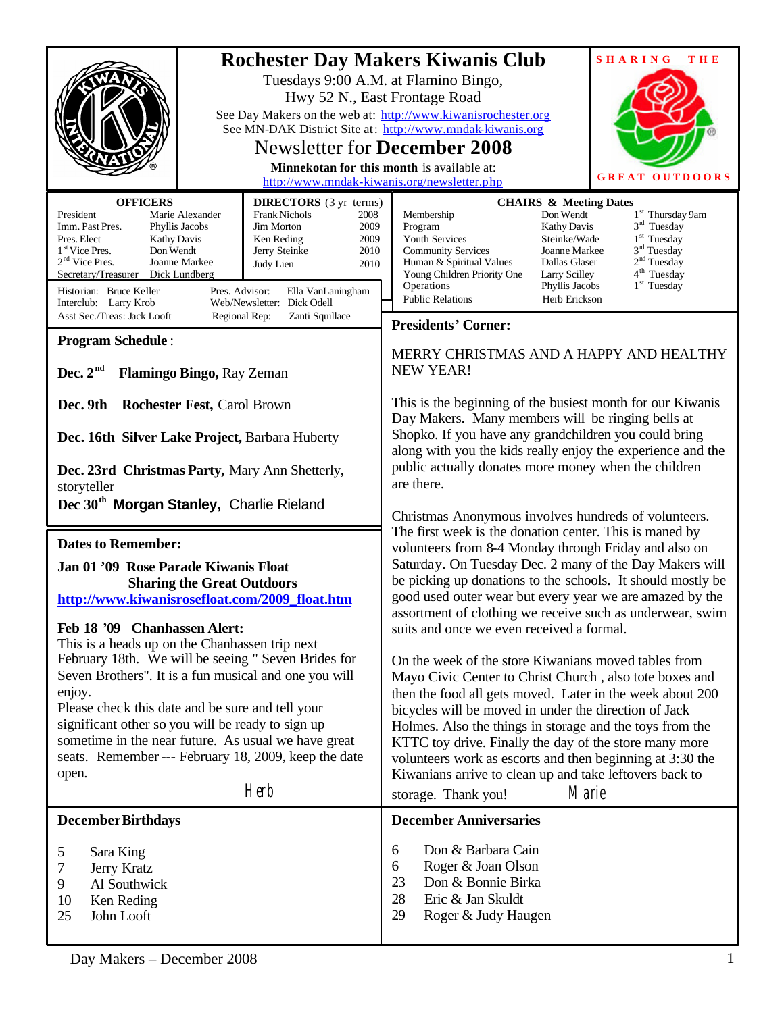|                                                                                                                                                                                                                                                                                                                                                                                                                                                                                                                                                                                                                            | <b>Rochester Day Makers Kiwanis Club</b><br><b>SHARING</b><br><b>THE</b><br>Tuesdays 9:00 A.M. at Flamino Bingo,<br>Hwy 52 N., East Frontage Road<br>See Day Makers on the web at: http://www.kiwanisrochester.org<br>See MN-DAK District Site at: http://www.mndak-kiwanis.org<br><b>Newsletter for December 2008</b><br>Minnekotan for this month is available at:<br><b>GREAT OUTDOORS</b>                                                                                                                                                                                                                                                                                                                                                                                                                                                                                                                                                                                                                                                                                                                                                                                                                                                                                                                                        |  |  |
|----------------------------------------------------------------------------------------------------------------------------------------------------------------------------------------------------------------------------------------------------------------------------------------------------------------------------------------------------------------------------------------------------------------------------------------------------------------------------------------------------------------------------------------------------------------------------------------------------------------------------|--------------------------------------------------------------------------------------------------------------------------------------------------------------------------------------------------------------------------------------------------------------------------------------------------------------------------------------------------------------------------------------------------------------------------------------------------------------------------------------------------------------------------------------------------------------------------------------------------------------------------------------------------------------------------------------------------------------------------------------------------------------------------------------------------------------------------------------------------------------------------------------------------------------------------------------------------------------------------------------------------------------------------------------------------------------------------------------------------------------------------------------------------------------------------------------------------------------------------------------------------------------------------------------------------------------------------------------|--|--|
| <b>OFFICERS</b><br><b>DIRECTORS</b> (3 yr terms)<br>President<br>Marie Alexander<br>Frank Nichols<br>2008<br>Imm. Past Pres.<br>Jim Morton<br>Phyllis Jacobs<br>2009<br>Pres. Elect<br><b>Kathy Davis</b><br>Ken Reding<br>2009<br>1 <sup>st</sup> Vice Pres.<br>Don Wendt<br>2010<br>Jerry Steinke<br>$2nd$ Vice Pres.<br>Joanne Markee<br>Judy Lien<br>2010<br>Secretary/Treasurer Dick Lundberg<br>Historian: Bruce Keller<br>Pres. Advisor:<br>Ella VanLaningham<br>Web/Newsletter: Dick Odell<br>Interclub: Larry Krob<br>Asst Sec./Treas: Jack Looft<br>Regional Rep:<br>Zanti Squillace<br><b>Program Schedule:</b> | http://www.mndak-kiwanis.org/newsletter.php<br><b>CHAIRS &amp; Meeting Dates</b><br>Don Wendt<br>1 <sup>st</sup> Thursday 9am<br>Membership<br>$3rd$ Tuesday<br>Program<br>Kathy Davis<br>$1st$ Tuesday<br>Youth Services<br>Steinke/Wade<br>$3rd$ Tuesday<br><b>Community Services</b><br>Joanne Markee<br>2 <sup>nd</sup> Tuesday<br>Human & Spiritual Values<br>Dallas Glaser<br>4 <sup>th</sup> Tuesday<br>Young Children Priority One<br>Larry Scilley<br>$1st$ Tuesday<br>Operations<br>Phyllis Jacobs<br><b>Public Relations</b><br>Herb Erickson<br><b>Presidents' Corner:</b><br>MERRY CHRISTMAS AND A HAPPY AND HEALTHY                                                                                                                                                                                                                                                                                                                                                                                                                                                                                                                                                                                                                                                                                                    |  |  |
| Dec. $2^{nd}$<br>Flamingo Bingo, Ray Zeman<br>Dec. 9th<br><b>Rochester Fest, Carol Brown</b><br>Dec. 16th Silver Lake Project, Barbara Huberty<br>Dec. 23rd Christmas Party, Mary Ann Shetterly,<br>storyteller<br>Dec 30 <sup>th</sup> Morgan Stanley, Charlie Rieland                                                                                                                                                                                                                                                                                                                                                    | <b>NEW YEAR!</b><br>This is the beginning of the busiest month for our Kiwanis<br>Day Makers. Many members will be ringing bells at<br>Shopko. If you have any grandchildren you could bring<br>along with you the kids really enjoy the experience and the<br>public actually donates more money when the children<br>are there.<br>Christmas Anonymous involves hundreds of volunteers.<br>The first week is the donation center. This is maned by<br>volunteers from 8-4 Monday through Friday and also on<br>Saturday. On Tuesday Dec. 2 many of the Day Makers will<br>be picking up donations to the schools. It should mostly be<br>good used outer wear but every year we are amazed by the<br>assortment of clothing we receive such as underwear, swim<br>suits and once we even received a formal.<br>On the week of the store Kiwanians moved tables from<br>Mayo Civic Center to Christ Church, also tote boxes and<br>then the food all gets moved. Later in the week about 200<br>bicycles will be moved in under the direction of Jack<br>Holmes. Also the things in storage and the toys from the<br>KTTC toy drive. Finally the day of the store many more<br>volunteers work as escorts and then beginning at 3:30 the<br>Kiwanians arrive to clean up and take leftovers back to<br>Marie<br>storage. Thank you! |  |  |
| <b>Dates to Remember:</b><br>Jan 01 '09 Rose Parade Kiwanis Float<br><b>Sharing the Great Outdoors</b><br>http://www.kiwanisrosefloat.com/2009_float.htm<br>Feb 18 '09 Chanhassen Alert:<br>This is a heads up on the Chanhassen trip next<br>February 18th. We will be seeing " Seven Brides for<br>Seven Brothers". It is a fun musical and one you will<br>enjoy.<br>Please check this date and be sure and tell your<br>significant other so you will be ready to sign up<br>sometime in the near future. As usual we have great<br>seats. Remember --- February 18, 2009, keep the date<br>open.<br>Herb              |                                                                                                                                                                                                                                                                                                                                                                                                                                                                                                                                                                                                                                                                                                                                                                                                                                                                                                                                                                                                                                                                                                                                                                                                                                                                                                                                      |  |  |
| <b>December Birthdays</b><br>5<br>Sara King<br>7<br>Jerry Kratz<br>9<br>Al Southwick<br>10<br>Ken Reding<br>25<br>John Looft                                                                                                                                                                                                                                                                                                                                                                                                                                                                                               | <b>December Anniversaries</b><br>Don & Barbara Cain<br>6<br>Roger & Joan Olson<br>6<br>23<br>Don & Bonnie Birka<br>28<br>Eric & Jan Skuldt<br>29<br>Roger & Judy Haugen                                                                                                                                                                                                                                                                                                                                                                                                                                                                                                                                                                                                                                                                                                                                                                                                                                                                                                                                                                                                                                                                                                                                                              |  |  |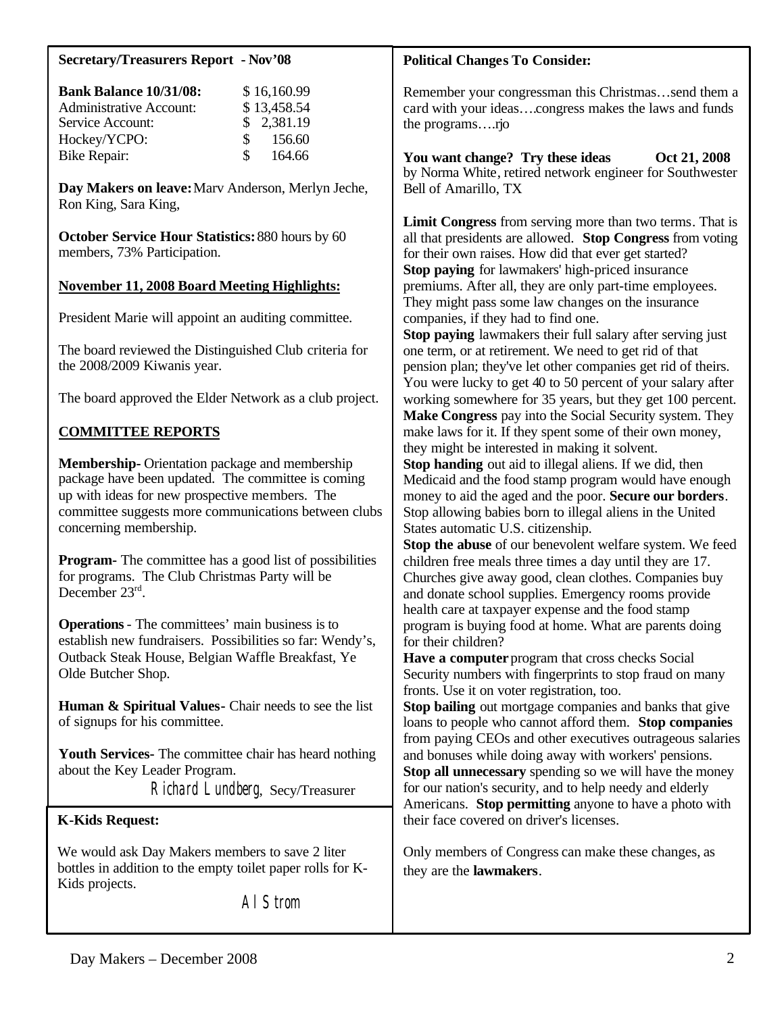#### **Secretary/Treasurers Report - Nov'08**

| <b>Bank Balance 10/31/08:</b>  |               | \$16,160.99 |
|--------------------------------|---------------|-------------|
| <b>Administrative Account:</b> |               | \$13,458.54 |
| Service Account:               |               | \$2,381.19  |
| Hockey/YCPO:                   | $\mathcal{S}$ | 156.60      |
| <b>Bike Repair:</b>            | S.            | 164.66      |

**Day Makers on leave:** Marv Anderson, Merlyn Jeche, Ron King, Sara King,

**October Service Hour Statistics:** 880 hours by 60 members, 73% Participation.

#### **November 11, 2008 Board Meeting Highlights:**

President Marie will appoint an auditing committee.

The board reviewed the Distinguished Club criteria for the 2008/2009 Kiwanis year.

The board approved the Elder Network as a club project.

## **COMMITTEE REPORTS**

**Membership-** Orientation package and membership package have been updated. The committee is coming up with ideas for new prospective members. The committee suggests more communications between clubs concerning membership.

**Program-** The committee has a good list of possibilities for programs. The Club Christmas Party will be December 23rd.

**Operations** - The committees' main business is to establish new fundraisers. Possibilities so far: Wendy's, Outback Steak House, Belgian Waffle Breakfast, Ye Olde Butcher Shop.

**Human & Spiritual Values-** Chair needs to see the list of signups for his committee.

**Youth Services-** The committee chair has heard nothing about the Key Leader Program.

Richard Lundberg, Secy/Treasurer

#### **K-Kids Request:**

We would ask Day Makers members to save 2 liter bottles in addition to the empty toilet paper rolls for K-Kids projects.

Al Strom

#### **Political Changes To Consider:**

Remember your congressman this Christmas…send them a card with your ideas….congress makes the laws and funds the programs….rjo

You want change? Try these ideas Oct 21, 2008 by Norma White, retired network engineer for Southwester Bell of Amarillo, TX

**Limit Congress** from serving more than two terms. That is all that presidents are allowed. **Stop Congress** from voting for their own raises. How did that ever get started? **Stop paying** for lawmakers' high-priced insurance premiums. After all, they are only part-time employees. They might pass some law changes on the insurance companies, if they had to find one.

**Stop paying** lawmakers their full salary after serving just one term, or at retirement. We need to get rid of that pension plan; they've let other companies get rid of theirs. You were lucky to get 40 to 50 percent of your salary after working somewhere for 35 years, but they get 100 percent. **Make Congress** pay into the Social Security system. They make laws for it. If they spent some of their own money, they might be interested in making it solvent.

**Stop handing** out aid to illegal aliens. If we did, then Medicaid and the food stamp program would have enough money to aid the aged and the poor. **Secure our borders**. Stop allowing babies born to illegal aliens in the United States automatic U.S. citizenship.

**Stop the abuse** of our benevolent welfare system. We feed children free meals three times a day until they are 17. Churches give away good, clean clothes. Companies buy and donate school supplies. Emergency rooms provide health care at taxpayer expense and the food stamp program is buying food at home. What are parents doing for their children?

**Have a computer** program that cross checks Social Security numbers with fingerprints to stop fraud on many fronts. Use it on voter registration, too.

**Stop bailing** out mortgage companies and banks that give loans to people who cannot afford them. **Stop companies** from paying CEOs and other executives outrageous salaries and bonuses while doing away with workers' pensions. **Stop all unnecessary** spending so we will have the money for our nation's security, and to help needy and elderly Americans. **Stop permitting** anyone to have a photo with their face covered on driver's licenses.

Only members of Congress can make these changes, as they are the **lawmakers**.